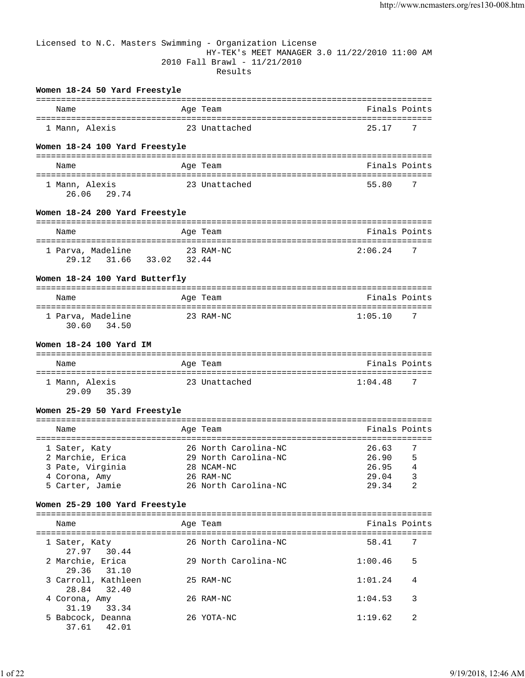# Licensed to N.C. Masters Swimming - Organization License HY-TEK's MEET MANAGER 3.0 11/22/2010 11:00 AM 2010 Fall Brawl - 11/21/2010 Results

## **Women 18-24 50 Yard Freestyle**

| Name           | Age Team      | Finals Points |
|----------------|---------------|---------------|
| 1 Mann, Alexis | 23 Unattached | - 7<br>25 17  |

# **Women 18-24 100 Yard Freestyle**

| Name                          | Age Team      | Finals Points |
|-------------------------------|---------------|---------------|
| 1 Mann, Alexis<br>26.06 29.74 | 23 Unattached | 55.80<br>- 7  |

## **Women 18-24 200 Yard Freestyle**

| Name                                   | Age Team           | Finals Points             |
|----------------------------------------|--------------------|---------------------------|
| 1 Parva, Madeline<br>29.12 31.66 33.02 | 23 RAM-NC<br>32.44 | 2:06.24<br>$\overline{7}$ |

# **Women 18-24 100 Yard Butterfly**

| Name                                | Age Team  | Finals Points  |
|-------------------------------------|-----------|----------------|
| 1 Parva, Madeline<br>30.60<br>34.50 | 23 RAM-NC | 1:05.10<br>- 7 |

# **Women 18-24 100 Yard IM**

| Name           | Age Team      | Finals Points |
|----------------|---------------|---------------|
| 1 Mann, Alexis | 23 Unattached | 1:04.48<br>-7 |
| 29.09<br>35.39 |               |               |

### **Women 25-29 50 Yard Freestyle**

|  | Name             |  | Age Team             | Finals Points |                |
|--|------------------|--|----------------------|---------------|----------------|
|  |                  |  |                      |               |                |
|  | 1 Sater, Katy    |  | 26 North Carolina-NC | 26.63         | $\overline{7}$ |
|  | 2 Marchie, Erica |  | 29 North Carolina-NC | 26.90         | 5              |
|  | 3 Pate, Virginia |  | 28 NCAM-NC           | 26.95         | 4              |
|  | 4 Corona, Amy    |  | $26$ RAM-NC          | 29.04         | 3              |
|  | 5 Carter, Jamie  |  | 26 North Carolina-NC | 29 34         | 2              |

## **Women 25-29 100 Yard Freestyle**

| Name                                | Age Team             | Finals Points |    |
|-------------------------------------|----------------------|---------------|----|
| 1 Sater, Katy<br>27.97 30.44        | 26 North Carolina-NC | 58.41         | -7 |
| 2 Marchie, Erica<br>29.36 31.10     | 29 North Carolina-NC | 1:00.46       | 5  |
| 3 Carroll, Kathleen<br>28.84 32.40  | 25 RAM-NC            | 1:01.24       | 4  |
| 4 Corona, Amy<br>31.19<br>33.34     | 26 RAM-NC            | 1:04.53       | 3  |
| 5 Babcock, Deanna<br>42.01<br>37.61 | 26 YOTA-NC           | 1:19.62       | 2  |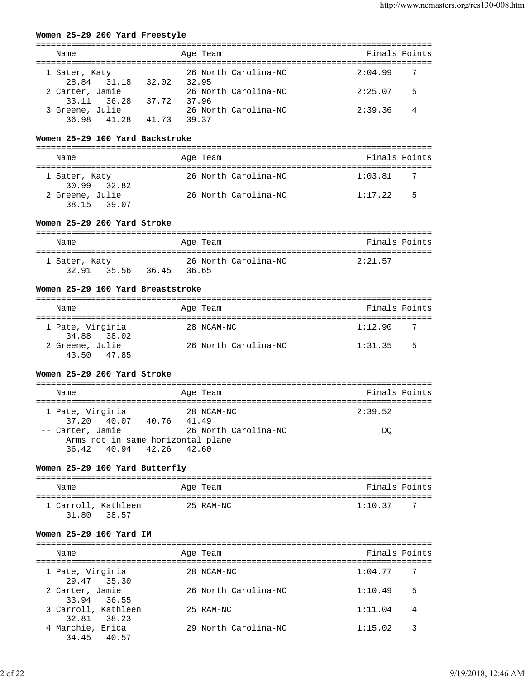### **Women 25-29 200 Yard Freestyle**

| Name                                    | Age Team                      | Finals Points  |
|-----------------------------------------|-------------------------------|----------------|
| 1 Sater, Katy<br>28.84 31.18<br>32.02   | 26 North Carolina-NC<br>32.95 | 2:04.99<br>- 7 |
| 2 Carter, Jamie<br>37.72<br>33.11 36.28 | 26 North Carolina-NC<br>37.96 | 2:25.07<br>5   |
| 3 Greene, Julie<br>36.98 41.28<br>41.73 | 26 North Carolina-NC<br>39.37 | 2:39.36<br>4   |

# **Women 25-29 100 Yard Backstroke**

| Name                           | Age Team             | Finals Points |
|--------------------------------|----------------------|---------------|
| 1 Sater, Katy<br>30.99 32.82   | 26 North Carolina-NC | 1:03.81       |
| 2 Greene, Julie<br>38.15 39.07 | 26 North Carolina-NC | .5<br>1:17.22 |

### **Women 25-29 200 Yard Stroke**

| Name          |                   | Age Team |                      | Finals Points |
|---------------|-------------------|----------|----------------------|---------------|
| 1 Sater, Katy |                   |          | 26 North Carolina-NC | 2:21.57       |
|               | 32.91 35.56 36.45 | 36.65    |                      |               |

### **Women 25-29 100 Yard Breaststroke**

| Name                            | Age Team             | Finals Points  |
|---------------------------------|----------------------|----------------|
| 1 Pate, Virginia<br>34.88 38.02 | 28 NCAM-NC           | 1:12.90<br>- 7 |
| 2 Greene, Julie<br>43.50 47.85  | 26 North Carolina-NC | -5<br>1:31.35  |

# **Women 25-29 200 Yard Stroke**

| Name                              | Age Team             | Finals Points |
|-----------------------------------|----------------------|---------------|
|                                   |                      |               |
| 1 Pate, Virginia                  | 28 NCAM-NC           | 2:39.52       |
| 37.20 40.07 40.76 41.49           |                      |               |
| -- Carter, Jamie                  | 26 North Carolina-NC | DO            |
| Arms not in same horizontal plane |                      |               |
| 36.42 40.94 42.26 42.60           |                      |               |

# **Women 25-29 100 Yard Butterfly**

| Name                         |       | Age Team  | Finals Points |     |
|------------------------------|-------|-----------|---------------|-----|
| 1 Carroll, Kathleen<br>31 RO | 38.57 | 25 RAM-NC | 1:10.37       | - 7 |

### **Women 25-29 100 Yard IM**

| Name                               | Age Team             | Finals Points |   |
|------------------------------------|----------------------|---------------|---|
| 1 Pate, Virginia<br>29.47 35.30    | 28 NCAM-NC           | 1:04.77       | 7 |
| 2 Carter, Jamie<br>33.94 36.55     | 26 North Carolina-NC | 1:10.49       | 5 |
| 3 Carroll, Kathleen<br>32.81 38.23 | 25 RAM-NC            | 1:11.04       | 4 |
| 4 Marchie, Erica<br>34.45 40.57    | 29 North Carolina-NC | 1:15.02       | 3 |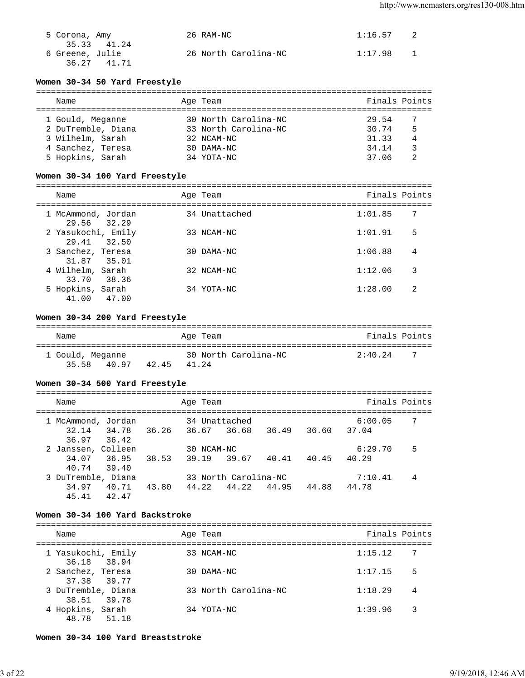| 5 Corona, Amy                  | 26 RAM-NC            | 1:16.57 | 2 |
|--------------------------------|----------------------|---------|---|
| 35.33 41.24<br>6 Greene, Julie | 26 North Carolina-NC | 1:17.98 |   |
| 36.27 41.71                    |                      |         |   |

# **Women 30-34 50 Yard Freestyle**

| Name               |  | Age Team             | Finals Points |   |  |  |  |
|--------------------|--|----------------------|---------------|---|--|--|--|
|                    |  |                      |               |   |  |  |  |
| 1 Gould, Meganne   |  | 30 North Carolina-NC | 29.54         |   |  |  |  |
| 2 DuTremble, Diana |  | 33 North Carolina-NC | 30.74         | 5 |  |  |  |
| 3 Wilhelm, Sarah   |  | 32 NCAM-NC           | 31.33         | 4 |  |  |  |
| 4 Sanchez, Teresa  |  | 30 DAMA-NC           | 34.14         | 3 |  |  |  |
| 5 Hopkins, Sarah   |  | 34 YOTA-NC           | 37 06         |   |  |  |  |

# **Women 30-34 100 Yard Freestyle**

| Name                               | Age Team      | Finals Points |    |
|------------------------------------|---------------|---------------|----|
| 1 McAmmond, Jordan<br>29.56 32.29  | 34 Unattached | 1:01.85       | -7 |
| 2 Yasukochi, Emily<br>29.41 32.50  | 33 NCAM-NC    | 1:01.91       | 5  |
| 3 Sanchez, Teresa<br>31.87 35.01   | $30$ DAMA-NC  | 1:06.88       | 4  |
| 4 Wilhelm, Sarah<br>33.70<br>38.36 | 32 NCAM-NC    | 1:12.06       | 3  |
| 5 Hopkins, Sarah<br>41.00<br>47.00 | 34 YOTA-NC    | 1:28.00       | 2  |

## **Women 30-34 200 Yard Freestyle**

| Name                               |       | Age Team                      | Finals Points               |
|------------------------------------|-------|-------------------------------|-----------------------------|
| 1 Gould, Meganne<br>35 58<br>40.97 | 42.45 | 30 North Carolina-NC<br>41 24 | $2:40$ 24<br>$\overline{7}$ |

### **Women 30-34 500 Yard Freestyle**

| Name                                                   |       | Age Team               |                                     |       |       | Finals Points    |    |
|--------------------------------------------------------|-------|------------------------|-------------------------------------|-------|-------|------------------|----|
| 1 McAmmond, Jordan<br>32.14<br>34.78<br>36.97<br>36.42 | 36.26 | 34 Unattached<br>36.67 | 36.68                               | 36.49 | 36.60 | 6:00.05<br>37.04 | -7 |
| 2 Janssen, Colleen<br>34.07<br>36.95<br>40.74<br>39.40 | 38.53 | 30 NCAM-NC<br>39.19    | 39.67                               | 40.41 | 40.45 | 6:29.70<br>40.29 | 5  |
| 3 DuTremble, Diana<br>34.97<br>40.71<br>45.41<br>42.47 | 43.80 | 44.22                  | 33 North Carolina-NC<br>44.22 44.95 |       | 44.88 | 7:10.41<br>44.78 | 4  |

# **Women 30-34 100 Yard Backstroke**

| Name                              | Age Team             | Finals Points |    |
|-----------------------------------|----------------------|---------------|----|
| 1 Yasukochi, Emily<br>36.18 38.94 | 33 NCAM-NC           | 1:15.12       | -7 |
| 2 Sanchez, Teresa<br>37.38 39.77  | 30 DAMA-NC           | 1:17.15       | 5  |
| 3 DuTremble, Diana<br>38.51 39.78 | 33 North Carolina-NC | 1:18.29       | 4  |
| 4 Hopkins, Sarah<br>48.78 51.18   | 34 YOTA-NC           | 1:39.96       | 3  |

### **Women 30-34 100 Yard Breaststroke**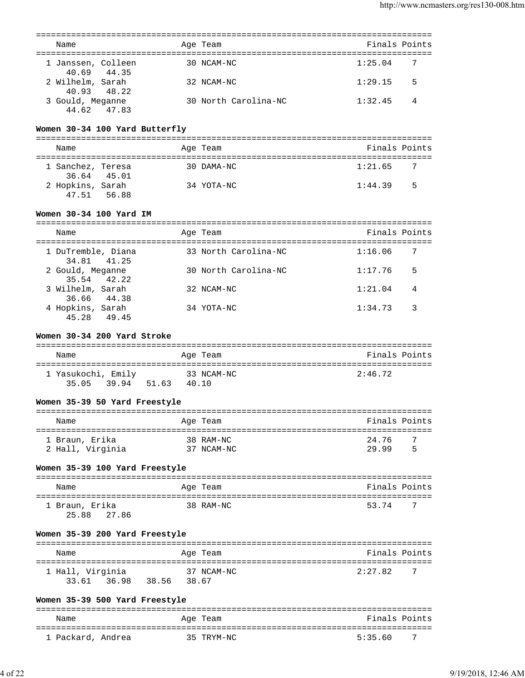| Name                                             |             | Age Team             | Finals Points                                    |    |
|--------------------------------------------------|-------------|----------------------|--------------------------------------------------|----|
|                                                  |             |                      |                                                  |    |
| 1 Janssen, Colleen<br>40.69<br>44.35             |             | 30 NCAM-NC           | 1:25.04                                          | 7  |
| 2 Wilhelm, Sarah<br>40.93<br>48.22               |             | 32 NCAM-NC           | 1:29.15                                          | 5  |
| 3 Gould, Meganne<br>44.62<br>47.83               |             | 30 North Carolina-NC | 1:32.45                                          | 4  |
| Women 30-34 100 Yard Butterfly                   |             |                      |                                                  |    |
| Name                                             |             | Age Team             | Finals Points                                    |    |
| 1 Sanchez, Teresa<br>36.64 45.01                 |             | 30 DAMA-NC           | 1:21.65                                          | 7  |
| 2 Hopkins, Sarah<br>47.51 56.88                  |             | 34 YOTA-NC           | 1:44.39                                          | -5 |
| Women 30-34 100 Yard IM                          |             |                      |                                                  |    |
| Name                                             |             | Age Team             | Finals Points                                    |    |
| 1 DuTremble, Diana<br>34.81<br>41.25             |             | 33 North Carolina-NC | 1:16.06                                          | 7  |
| 2 Gould, Meganne<br>35.54<br>42.22               |             | 30 North Carolina-NC | 1:17.76                                          | 5  |
| 3 Wilhelm, Sarah<br>36.66 44.38                  |             | 32 NCAM-NC           | 1:21.04                                          | 4  |
| 4 Hopkins, Sarah<br>45.28<br>49.45               |             | 34 YOTA-NC           | 1:34.73                                          | 3  |
| Women 30-34 200 Yard Stroke                      |             |                      |                                                  |    |
| Name                                             |             | Age Team             | Finals Points                                    |    |
| 1 Yasukochi, Emily<br>39.94 51.63 40.10<br>35.05 |             | 33 NCAM-NC           | 2:46.72                                          |    |
| Women 35-39 50 Yard Freestyle                    |             |                      |                                                  |    |
| Name                                             |             | Age Team             | Finals Points                                    |    |
| ===================<br>1 Braun, Erika            |             | 38 RAM-NC            | 24.76                                            | 7  |
| 2 Hall, Virginia                                 |             | 37 NCAM-NC           | 29.99                                            | 5  |
| Women 35-39 100 Yard Freestyle                   |             |                      |                                                  |    |
| Name                                             |             | Age Team             | Finals Points                                    |    |
| 1 Braun, Erika<br>27.86<br>25.88                 |             | 38 RAM-NC            | 53.74                                            | 7  |
| Women 35-39 200 Yard Freestyle                   |             |                      |                                                  |    |
| Name                                             |             | Age Team             | ===============================<br>Finals Points |    |
| 1 Hall, Virginia<br>33.61 36.98                  | 38.56 38.67 | 37 NCAM-NC           | 2:27.82                                          | 7  |
| Women 35-39 500 Yard Freestyle                   |             |                      |                                                  |    |
| Name                                             |             | Age Team             | Finals Points                                    |    |
|                                                  |             |                      |                                                  |    |

1 Packard, Andrea 35 TRYM-NC 5:35.60 7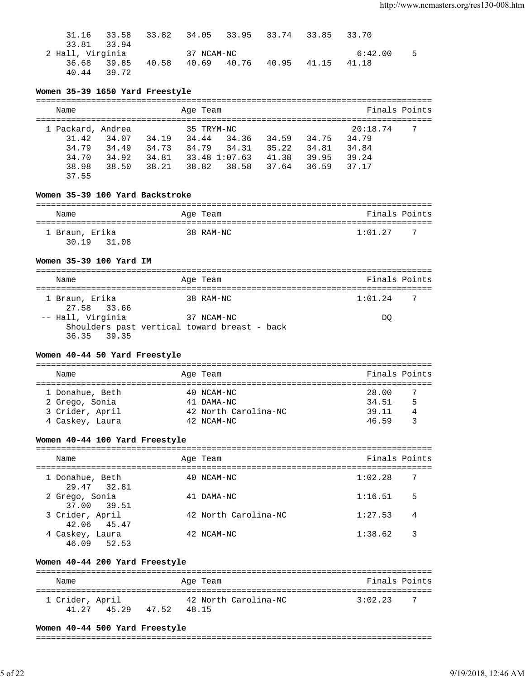| 31.16            | 33.58       | 33.82 34.05 33.95 33.74 33.85 33.70 |            |                   |         |    |
|------------------|-------------|-------------------------------------|------------|-------------------|---------|----|
| 33.81 33.94      |             |                                     |            |                   |         |    |
| 2 Hall, Virginia |             |                                     | 37 NCAM-NC |                   | 6:42.00 | -5 |
|                  | 36.68 39.85 | 40.58                               | 40.69      | 40.76 40.95 41.15 | 41.18   |    |
| 40.44 39.72      |             |                                     |            |                   |         |    |

# **Women 35-39 1650 Yard Freestyle**

| Name              |       |       | Age Team   |               |       |       | Finals Points |     |
|-------------------|-------|-------|------------|---------------|-------|-------|---------------|-----|
|                   |       |       |            |               |       |       |               |     |
| 1 Packard, Andrea |       |       | 35 TRYM-NC |               |       |       | 20:18.74      | - 7 |
| 31.42             | 34.07 | 34.19 | 34.44      | 34.36         | 34.59 | 34.75 | 34.79         |     |
| 34.79             | 34.49 | 34.73 | 34.79      | 34.31         | 35.22 | 34.81 | 34.84         |     |
| 34.70             | 34.92 | 34.81 |            | 33.48 1:07.63 | 41.38 | 39.95 | 39.24         |     |
| 38.98             | 38.50 | 38.21 | 38.82      | 38.58         | 37.64 | 36.59 | 37.17         |     |
| 37.55             |       |       |            |               |       |       |               |     |

# **Women 35-39 100 Yard Backstroke**

| Name           | Age Team  | Finals Points |
|----------------|-----------|---------------|
| 1 Braun, Erika | 38 RAM-NC | 1:01.27<br>-7 |
| 30 19<br>31.08 |           |               |

# **Women 35-39 100 Yard IM**

| Name                                                                             | Age Team   | Finals Points             |
|----------------------------------------------------------------------------------|------------|---------------------------|
| 1 Braun, Erika<br>27.58 33.66                                                    | 38 RAM-NC  | 1:01.24<br>$\overline{7}$ |
| -- Hall, Virginia<br>Shoulders past vertical toward breast - back<br>36.35 39.35 | 37 NCAM-NC | DO                        |

# **Women 40-44 50 Yard Freestyle**

| Name            |  | Age Team             | Finals Points |  |  |  |  |  |  |
|-----------------|--|----------------------|---------------|--|--|--|--|--|--|
|                 |  |                      |               |  |  |  |  |  |  |
| 1 Donahue, Beth |  | 40 NCAM-NC           | 28.00         |  |  |  |  |  |  |
| 2 Grego, Sonia  |  | 41 DAMA-NC           | 5<br>34.51    |  |  |  |  |  |  |
| 3 Crider, April |  | 42 North Carolina-NC | 39.11<br>4    |  |  |  |  |  |  |
| 4 Caskey, Laura |  | 42 NCAM-NC           | 46 59         |  |  |  |  |  |  |

# **Women 40-44 100 Yard Freestyle**

| Name                           | Age Team             | Finals Points |    |
|--------------------------------|----------------------|---------------|----|
| 1 Donahue, Beth<br>29.47 32.81 | 40 NCAM-NC           | 1:02.28       | 7  |
| 2 Grego, Sonia<br>37.00 39.51  | 41 DAMA-NC           | 1:16.51       | 5  |
| 3 Crider, April<br>42.06 45.47 | 42 North Carolina-NC | 1:27.53       | 4  |
| 4 Caskey, Laura<br>46.09 52.53 | 42 NCAM-NC           | 1:38.62       | -3 |

# **Women 40-44 200 Yard Freestyle**

| Name                     |       |       | Age Team |                      | Finals Points |     |
|--------------------------|-------|-------|----------|----------------------|---------------|-----|
| 1 Crider, April<br>41 27 | 45.29 | 47 52 | 48.15    | 42 North Carolina-NC | 3:02.23       | - 7 |

### **Women 40-44 500 Yard Freestyle**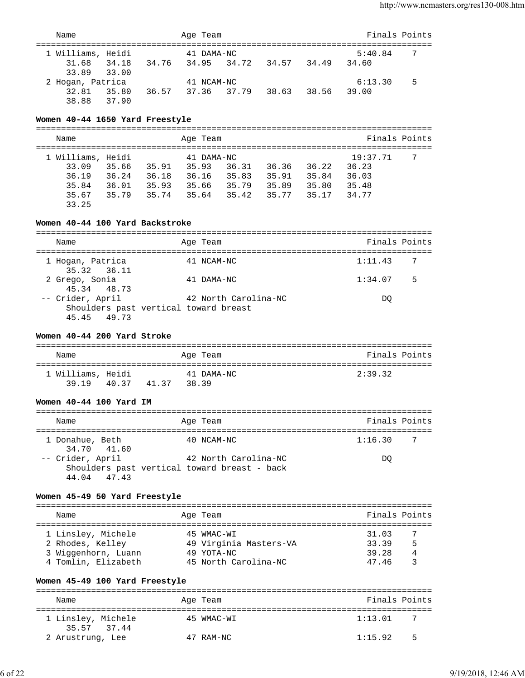| Name                                                                                                                                    |                               |       | Age Team               |                        |                         | Finals Points                  |   |
|-----------------------------------------------------------------------------------------------------------------------------------------|-------------------------------|-------|------------------------|------------------------|-------------------------|--------------------------------|---|
| ==========================<br>1 Williams, Heidi                                                                                         |                               |       | 41 DAMA-NC             |                        |                         | 5:40.84                        | 7 |
| 34.18 34.76<br>31.68<br>33.89<br>33.00                                                                                                  |                               |       |                        |                        | 34.95 34.72 34.57 34.49 | 34.60                          |   |
| 2 Hogan, Patrica                                                                                                                        |                               |       | 41 NCAM-NC             |                        |                         | 6:13.30                        | 5 |
| 32.81 35.80<br>38.88 37.90                                                                                                              | 36.57 37.36 37.79 38.63 38.56 |       |                        |                        |                         | 39.00                          |   |
| Women 40-44 1650 Yard Freestyle                                                                                                         |                               |       |                        |                        |                         |                                |   |
| Name                                                                                                                                    |                               |       | Age Team               |                        |                         | Finals Points                  |   |
| 1 Williams, Heidi                                                                                                                       |                               |       | 41 DAMA-NC             |                        |                         | 19:37.71                       | 7 |
| 33.09 35.66 35.91 35.93                                                                                                                 |                               |       |                        |                        | 36.31 36.36 36.22       | 36.23                          |   |
| 36.19 36.24 36.18 36.16 35.83 35.91 35.84                                                                                               |                               |       |                        |                        |                         | 36.03                          |   |
|                                                                                                                                         |                               |       |                        |                        |                         |                                |   |
| 35.84   36.01   35.93   35.66   35.79   35.89   35.80   35.48<br>35.67   35.79   35.74   35.64   35.42   35.77   35.17   34.77<br>33.25 |                               |       |                        |                        |                         |                                |   |
| Women 40-44 100 Yard Backstroke                                                                                                         |                               |       |                        |                        |                         |                                |   |
| Name                                                                                                                                    |                               |       | Age Team               |                        |                         | Finals Points                  |   |
| 1 Hogan, Patrica<br>35.32<br>36.11                                                                                                      |                               |       | 41 NCAM-NC             |                        |                         | 1:11.43                        | 7 |
| 2 Grego, Sonia<br>45.34<br>48.73                                                                                                        |                               |       | 41 DAMA-NC             |                        |                         | 1:34.07                        | 5 |
| -- Crider, April<br>Shoulders past vertical toward breast<br>45.45 49.73                                                                |                               |       |                        | 42 North Carolina-NC   |                         | DQ                             |   |
| Name<br>1 Williams, Heidi                                                                                                               |                               |       | Age Team<br>41 DAMA-NC |                        |                         | Finals Points<br>2:39.32       |   |
| 40.37 41.37<br>39.19                                                                                                                    |                               | 38.39 |                        |                        |                         |                                |   |
| Women 40-44 100 Yard IM                                                                                                                 |                               |       |                        |                        |                         |                                |   |
| Name                                                                                                                                    |                               |       | Age Team               |                        |                         | Finals Points<br>============= |   |
| 1 Donahue, Beth<br>34.70<br>41.60                                                                                                       |                               |       | 40 NCAM-NC             |                        |                         | 1:16.30                        | 7 |
| -- Crider, April<br>Shoulders past vertical toward breast - back<br>44.04<br>47.43                                                      |                               |       |                        | 42 North Carolina-NC   |                         | DQ                             |   |
| Women 45-49 50 Yard Freestyle                                                                                                           |                               |       |                        |                        |                         |                                |   |
| Name                                                                                                                                    |                               |       | Age Team               |                        |                         | Finals Points                  |   |
| 1 Linsley, Michele                                                                                                                      |                               |       | 45 WMAC-WI             |                        |                         | 31.03                          | 7 |
| 2 Rhodes, Kelley                                                                                                                        |                               |       |                        | 49 Virginia Masters-VA |                         | 33.39                          | 5 |
| 3 Wiggenhorn, Luann                                                                                                                     |                               |       | 49 YOTA-NC             |                        |                         | 39.28                          | 4 |
| 4 Tomlin, Elizabeth                                                                                                                     |                               |       |                        | 45 North Carolina-NC   |                         | 47.46                          | 3 |
| Women 45-49 100 Yard Freestyle                                                                                                          |                               |       |                        |                        |                         |                                |   |
| Name                                                                                                                                    |                               |       | Age Team               |                        |                         | Finals Points                  |   |
| 1 Linsley, Michele<br>35.57<br>37.44                                                                                                    |                               |       | 45 WMAC-WI             |                        |                         | 1:13.01                        | 7 |
| 2 Arustrung, Lee                                                                                                                        |                               |       | 47 RAM-NC              |                        |                         | 1:15.92                        | 5 |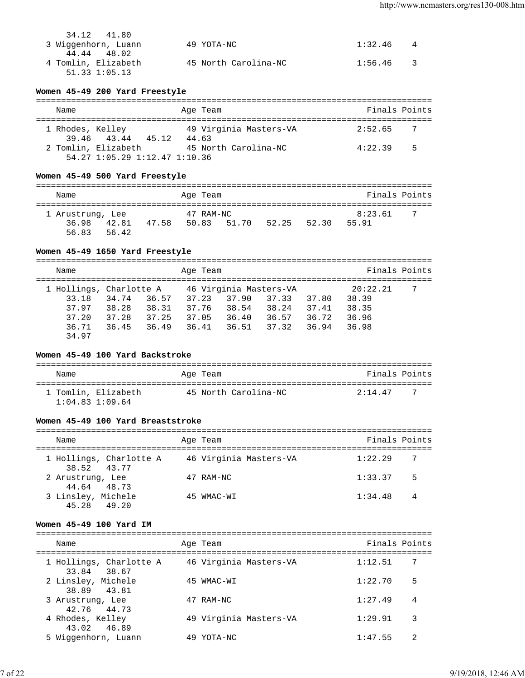| 34.12 41.80         |                      |             |  |
|---------------------|----------------------|-------------|--|
| 3 Wiggenhorn, Luann | 49 YOTA-NC           | $1:32.46$ 4 |  |
| 44.44 48.02         |                      |             |  |
| 4 Tomlin, Elizabeth | 45 North Carolina-NC | $1:56.46$ 3 |  |
| $51.33$ $1:05.13$   |                      |             |  |

## **Women 45-49 200 Yard Freestyle**

| Name             |                                                      | Age Team                        | Finals Points |    |
|------------------|------------------------------------------------------|---------------------------------|---------------|----|
| 1 Rhodes, Kelley | 39.46 43.44<br>45.12                                 | 49 Virginia Masters-VA<br>44.63 | 2:52.65       |    |
|                  | 2 Tomlin, Elizabeth<br>54.27 1:05.29 1:12.47 1:10.36 | 45 North Carolina-NC            | 4:22.39       | .5 |

# **Women 45-49 500 Yard Freestyle**

| Name                               |                |       | Age Team |           |             |       | Finals Points    |     |
|------------------------------------|----------------|-------|----------|-----------|-------------|-------|------------------|-----|
| 1 Arustrung, Lee<br>36.98<br>56.83 | 42.81<br>56.42 | 47.58 | 50.83    | 47 RAM-NC | 51.70 52.25 | 52.30 | 8:23.61<br>55.91 | - 7 |

# **Women 45-49 1650 Yard Freestyle**

| Name                    |       |       | Age Team |       |                        |       | Finals Points |   |
|-------------------------|-------|-------|----------|-------|------------------------|-------|---------------|---|
| 1 Hollings, Charlotte A |       |       |          |       | 46 Virginia Masters-VA |       | 20:22.21      | 7 |
| 33.18                   | 34.74 | 36.57 | 37.23    | 37.90 | 37.33                  | 37.80 | 38.39         |   |
| 37.97                   | 38.28 | 38.31 | 37.76    | 38.54 | 38.24                  | 37.41 | 38.35         |   |
| 37.20                   | 37.28 | 37.25 | 37.05    | 36.40 | 36.57                  | 36.72 | 36.96         |   |
| 36.71                   | 36.45 | 36.49 | 36.41    | 36.51 | 37.32                  | 36.94 | 36.98         |   |
| 34.97                   |       |       |          |       |                        |       |               |   |

# **Women 45-49 100 Yard Backstroke**

| Name                                       | Age Team             | Finals Points  |
|--------------------------------------------|----------------------|----------------|
| 1 Tomlin, Elizabeth<br>$1:04.83$ $1:09.64$ | 45 North Carolina-NC | 2:14 47<br>- 7 |

### **Women 45-49 100 Yard Breaststroke**

| Name                                   | Age Team               | Finals Points |                |
|----------------------------------------|------------------------|---------------|----------------|
| 1 Hollings, Charlotte A<br>38.52 43.77 | 46 Virginia Masters-VA | 1:22.29       | 7              |
| 2 Arustrung, Lee<br>44.64 48.73        | 47 RAM-NC              | 1:33.37       | 5              |
| 3 Linsley, Michele<br>45.28 49.20      | 45 WMAC-WI             | 1:34.48       | $\overline{4}$ |

### **Women 45-49 100 Yard IM**

| Name                                   | Age Team               | Finals Points |    |
|----------------------------------------|------------------------|---------------|----|
| 1 Hollings, Charlotte A<br>33.84 38.67 | 46 Virginia Masters-VA | 1:12.51       | -7 |
| 2 Linsley, Michele<br>38.89 43.81      | 45 WMAC-WI             | 1:22.70       | 5  |
| 3 Arustrung, Lee<br>42.76 44.73        | 47 RAM-NC              | 1:27.49       | 4  |
| 4 Rhodes, Kelley<br>43.02 46.89        | 49 Virginia Masters-VA | 1:29.91       | 3  |
| 5 Wiggenhorn, Luann                    | YOTA-NC                | 1:47.55       | 2  |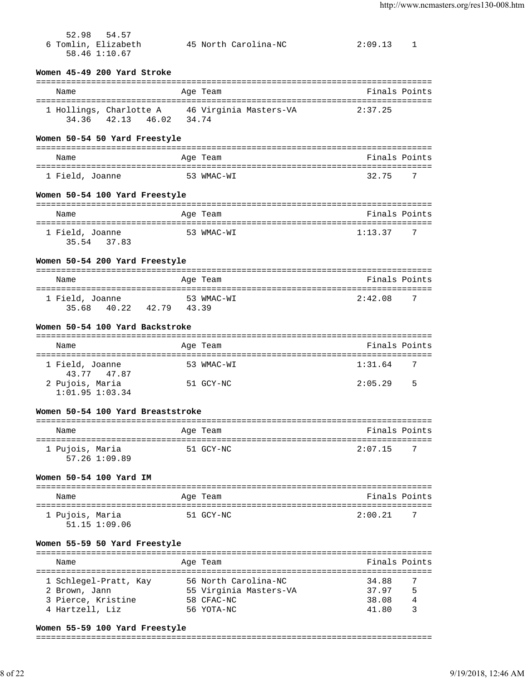| 52.98 54.57<br>6 Tomlin, Elizabeth<br>58.46 1:10.67          | 45 North Carolina-NC                                         | 2:09.13 1                                        |
|--------------------------------------------------------------|--------------------------------------------------------------|--------------------------------------------------|
| Women 45-49 200 Yard Stroke                                  |                                                              |                                                  |
| Name                                                         | Age Team                                                     | Finals Points                                    |
| 34.36 42.13 46.02 34.74                                      | 1 Hollings, Charlotte A 46 Virginia Masters-VA               | 2:37.25                                          |
| Women 50-54 50 Yard Freestyle                                |                                                              |                                                  |
| Name                                                         | Age Team                                                     | Finals Points                                    |
| 1 Field, Joanne                                              | 53 WMAC-WI                                                   | 32.75<br>7                                       |
| Women 50-54 100 Yard Freestyle                               |                                                              |                                                  |
| Name                                                         | Age Team                                                     | Finals Points                                    |
| 1 Field, Joanne<br>35.54 37.83                               | 53 WMAC-WI                                                   | $1:13.377$ 7                                     |
| Women 50-54 200 Yard Freestyle                               |                                                              |                                                  |
| Name                                                         | Age Team                                                     | Finals Points                                    |
| 1 Field, Joanne<br>35.68 40.22 42.79 43.39                   | 53 WMAC-WI                                                   | 2:42.08<br>7                                     |
| Women 50-54 100 Yard Backstroke                              |                                                              |                                                  |
| Name                                                         | Age Team                                                     | ===============================<br>Finals Points |
| 1 Field, Joanne<br>43.77 47.87                               | 53 WMAC-WI                                                   | 1:31.64<br>-7                                    |
| 2 Pujois, Maria<br>$1:01.95$ $1:03.34$                       | 51 GCY-NC                                                    | 2:05.29<br>5                                     |
| Women 50-54 100 Yard Breaststroke                            |                                                              |                                                  |
| Name                                                         | Age Team                                                     | Finals Points                                    |
| 1 Pujois, Maria<br>57.26 1:09.89                             | 51 GCY-NC                                                    | 2:07.15                                          |
| Women 50-54 100 Yard IM                                      |                                                              |                                                  |
| Name                                                         | Age Team                                                     | Finals Points                                    |
| 1 Pujois, Maria<br>51.15 1:09.06                             | 51 GCY-NC                                                    | 2:00.21<br>7                                     |
| Women 55-59 50 Yard Freestyle                                |                                                              |                                                  |
| Name                                                         | Age Team                                                     | Finals Points                                    |
| 1 Schlegel-Pratt, Kay<br>2 Brown, Jann<br>3 Pierce, Kristine | 56 North Carolina-NC<br>55 Virginia Masters-VA<br>58 CFAC-NC | 7<br>34.88<br>5<br>37.97<br>38.08<br>4           |
| 4 Hartzell, Liz                                              | 56 YOTA-NC                                                   | 41.80                                            |

### **Women 55-59 100 Yard Freestyle**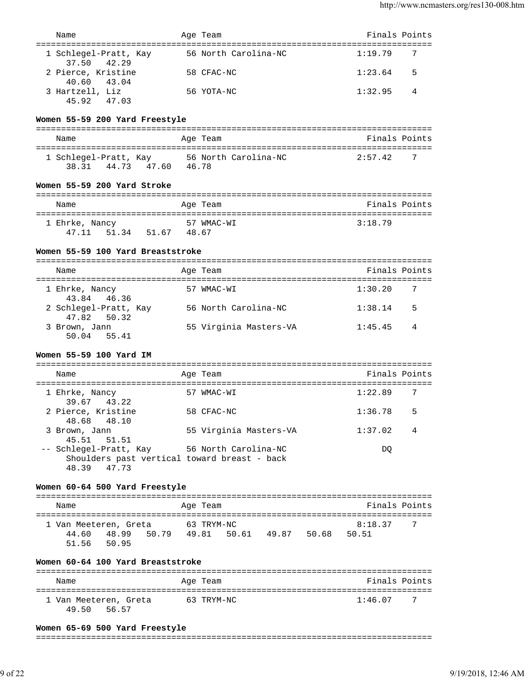|                                                                                          |                               | Finals Points |
|------------------------------------------------------------------------------------------|-------------------------------|---------------|
| Name                                                                                     | Age Team                      |               |
| 1 Schlegel-Pratt, Kay<br>37.50 42.29                                                     | 56 North Carolina-NC          | 1:19.79<br>7  |
| 2 Pierce, Kristine<br>40.60<br>43.04                                                     | 58 CFAC-NC                    | 1:23.64<br>5  |
| 3 Hartzell, Liz<br>45.92 47.03                                                           | 56 YOTA-NC                    | 1:32.95<br>4  |
| Women 55-59 200 Yard Freestyle                                                           |                               |               |
| Name                                                                                     | Age Team                      | Finals Points |
|                                                                                          | ==========================    |               |
| 1 Schlegel-Pratt, Kay 56 North Carolina-NC<br>38.31 44.73 47.60 46.78                    |                               | 2:57.42<br>7  |
| Women 55-59 200 Yard Stroke                                                              |                               |               |
| Name                                                                                     | Age Team                      | Finals Points |
| 1 Ehrke, Nancy<br>47.11 51.34 51.67 48.67                                                | 57 WMAC-WI                    | 3:18.79       |
| Women 55-59 100 Yard Breaststroke                                                        |                               |               |
| Name<br>-----------------------                                                          | Age Team                      | Finals Points |
| 1 Ehrke, Nancy<br>43.84 46.36                                                            | 57 WMAC-WI                    | 1:30.20<br>7  |
| 2 Schlegel-Pratt, Kay<br>47.82<br>50.32                                                  | 56 North Carolina-NC          | 1:38.14<br>5  |
| 3 Brown, Jann<br>50.04 55.41                                                             | 55 Virginia Masters-VA        | 1:45.45<br>4  |
| Women 55-59 100 Yard IM                                                                  |                               |               |
| Name                                                                                     | Age Team                      | Finals Points |
|                                                                                          |                               |               |
| 1 Ehrke, Nancy<br>39.67<br>43.22                                                         | 57 WMAC-WI                    | 7<br>1:22.89  |
| 2 Pierce, Kristine<br>48.68<br>48.10                                                     | 58 CFAC-NC                    | 1:36.78<br>5  |
| 3 Brown, Jann<br>45.51<br>51.51                                                          | 55 Virginia Masters-VA        | 1:37.02<br>4  |
| -- Schlegel-Pratt, Kay<br>Shoulders past vertical toward breast - back<br>47.73<br>48.39 | 56 North Carolina-NC          | DQ            |
| Women 60-64 500 Yard Freestyle                                                           |                               |               |
| Name                                                                                     | Age Team                      | Finals Points |
| 1 Van Meeteren, Greta                                                                    | 63 TRYM-NC                    | 8:18.37<br>7  |
| 48.99<br>50.79<br>44.60<br>50.95<br>51.56                                                | 50.61 49.87<br>50.68<br>49.81 | 50.51         |

# **Women 60-64 100 Yard Breaststroke**

| Name                                    | Age Team   | Finals Points  |
|-----------------------------------------|------------|----------------|
| 1 Van Meeteren, Greta<br>49 50<br>56.57 | 63 TRYM-NC | 1:46.07<br>- 7 |

### **Women 65-69 500 Yard Freestyle**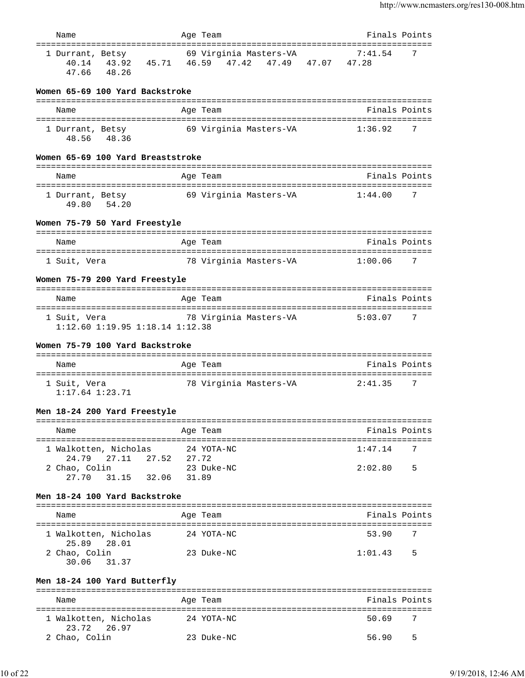| Name                                            | Age Team                                                                  | Finals Points |
|-------------------------------------------------|---------------------------------------------------------------------------|---------------|
| 1 Durrant, Betsy<br>47.66 48.26                 | 69 Virginia Masters-VA<br>40.14 43.92 45.71 46.59 47.42 47.49 47.07 47.28 | 7:41.54<br>7  |
| Women 65-69 100 Yard Backstroke                 |                                                                           |               |
| Name                                            | Age Team                                                                  | Finals Points |
| 1 Durrant, Betsy<br>48.56 48.36                 | 69 Virginia Masters-VA                                                    | 1:36.92<br>7  |
| Women 65-69 100 Yard Breaststroke               |                                                                           |               |
| Name                                            | Age Team                                                                  | Finals Points |
| 1 Durrant, Betsy<br>49.80 54.20                 | 69 Virginia Masters-VA                                                    | 1:44.00<br>7  |
| Women 75-79 50 Yard Freestyle                   |                                                                           |               |
| Name                                            | Age Team                                                                  | Finals Points |
| 1 Suit, Vera                                    | 78 Virginia Masters-VA                                                    | 1:00.06<br>7  |
| Women 75-79 200 Yard Freestyle                  |                                                                           |               |
| Name                                            | Age Team                                                                  | Finals Points |
| 1 Suit, Vera<br>1:12.60 1:19.95 1:18.14 1:12.38 | 78 Virginia Masters-VA                                                    | 5:03.07<br>7  |
| Women 75-79 100 Yard Backstroke                 |                                                                           |               |
|                                                 |                                                                           |               |
| Name                                            | Age Team                                                                  | Finals Points |
| 1 Suit, Vera<br>$1:17.64$ $1:23.71$             | 78 Virginia Masters-VA                                                    | 2:41.35<br>7  |
| Men 18-24 200 Yard Freestyle                    |                                                                           |               |
| Name                                            | Age Team                                                                  | Finals Points |
| 1 Walkotten, Nicholas                           | 24 YOTA-NC                                                                | 1:47.14<br>7  |
| 24.79 27.11 27.52<br>2 Chao, Colin              | 27.72<br>23 Duke-NC                                                       | 2:02.80<br>5  |
| 27.70 31.15 32.06 31.89                         |                                                                           |               |
| Men 18-24 100 Yard Backstroke                   |                                                                           |               |
| Name                                            | Age Team                                                                  | Finals Points |
| 1 Walkotten, Nicholas<br>25.89 28.01            | 24 YOTA-NC                                                                | 53.90<br>7    |
| 2 Chao, Colin<br>30.06 31.37                    | 23 Duke-NC                                                                | 1:01.43 5     |
| Men 18-24 100 Yard Butterfly                    |                                                                           |               |
| Name                                            | Age Team                                                                  | Finals Points |
| 1 Walkotten, Nicholas                           | 24 YOTA-NC                                                                | 50.69<br>7    |
| 23.72 26.97<br>2 Chao, Colin                    | 23 Duke-NC                                                                | 56.90<br>5    |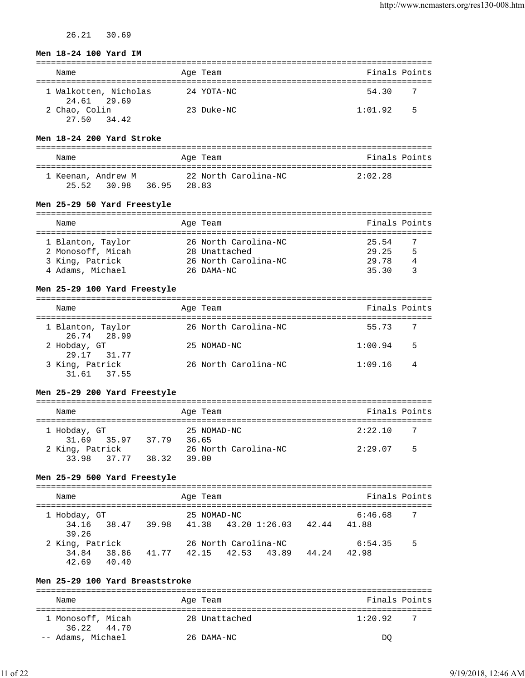26.21 30.69

### **Men 18-24 100 Yard IM**

| Name                                 |  | Age Team   | Finals Points |   |  |  |
|--------------------------------------|--|------------|---------------|---|--|--|
| 1 Walkotten, Nicholas<br>24.61 29.69 |  | 24 YOTA-NC | 54.30         |   |  |  |
| 2 Chao, Colin<br>34.42<br>27.50      |  | 23 Duke-NC | 1:01.92       | 5 |  |  |

### **Men 18-24 200 Yard Stroke**

| Name                              |                | Age Team             | Finals Points |
|-----------------------------------|----------------|----------------------|---------------|
| 1 Keenan, Andrew M<br>25.52 30.98 | 28.83<br>36.95 | 22 North Carolina-NC | 2:02.28       |

## **Men 25-29 50 Yard Freestyle**

| Name              |  | Age Team             | Finals Points |   |  |  |  |
|-------------------|--|----------------------|---------------|---|--|--|--|
|                   |  |                      |               |   |  |  |  |
| 1 Blanton, Taylor |  | 26 North Carolina-NC | 25.54         |   |  |  |  |
| 2 Monosoff, Micah |  | 28 Unattached        | 29.25         | 5 |  |  |  |
| 3 King, Patrick   |  | 26 North Carolina-NC | 29 78         | 4 |  |  |  |
| 4 Adams, Michael  |  | 26 DAMA-NC           | 3530          |   |  |  |  |

# **Men 25-29 100 Yard Freestyle**

| Name                             | Age Team             | Finals Points             |
|----------------------------------|----------------------|---------------------------|
| 1 Blanton, Taylor<br>26.74 28.99 | 26 North Carolina-NC | $\overline{7}$<br>55.73   |
| 2 Hobday, GT<br>29.17 31.77      | 25 NOMAD-NC          | 1:00.94<br>.5             |
| 3 King, Patrick<br>31.61 37.55   | 26 North Carolina-NC | 1:09.16<br>$\overline{4}$ |

### **Men 25-29 200 Yard Freestyle**

| Name            |       | Age Team             | Finals Points |   |  |  |
|-----------------|-------|----------------------|---------------|---|--|--|
| 1 Hobday, GT    |       | 25 NOMAD-NC          | 2:22.10       |   |  |  |
| 31.69 35.97     | 37.79 | 36.65                |               |   |  |  |
| 2 King, Patrick |       | 26 North Carolina-NC | 2:29.07       | 5 |  |  |
| 33.98 37.77     | 38.32 | 39.00                |               |   |  |  |

# **Men 25-29 500 Yard Freestyle**

| Name            |                |       |             |                           | Age Team |       |         | Finals Points |  |
|-----------------|----------------|-------|-------------|---------------------------|----------|-------|---------|---------------|--|
| 1 Hobday, GT    |                |       | 25 NOMAD-NC |                           |          |       | 6:46.68 | 7             |  |
| 39.26           | 34.16 38.47    |       |             | 39.98 41.38 43.20 1:26.03 |          | 42.44 | 41.88   |               |  |
| 2 King, Patrick |                |       |             | 26 North Carolina-NC      |          |       | 6:54.35 | 5             |  |
| 34.84<br>42.69  | 38.86<br>40.40 | 41.77 | 42.15       | 42.53 43.89               |          | 44.24 | 42.98   |               |  |

# **Men 25-29 100 Yard Breaststroke**

| Name                             | Age Team      | Finals Points  |  |  |  |  |
|----------------------------------|---------------|----------------|--|--|--|--|
| 1 Monosoff, Micah<br>36.22 44.70 | 28 Unattached | 1:20.92<br>- 7 |  |  |  |  |
| -- Adams, Michael                | 26 DAMA-NC    | DΟ             |  |  |  |  |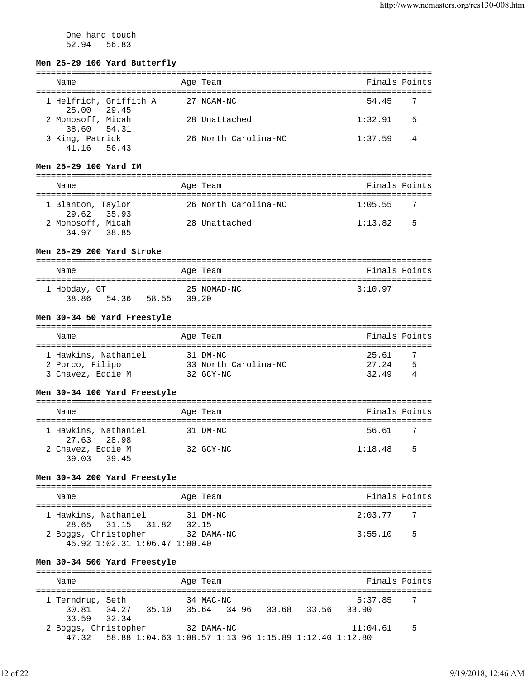One hand touch 52.94 56.83

### **Men 25-29 100 Yard Butterfly**

| Name                                  | Age Team             | Finals Points |                |
|---------------------------------------|----------------------|---------------|----------------|
| 1 Helfrich, Griffith A<br>25.00 29.45 | 27 NCAM-NC           | 54.45         | - 7            |
| 2 Monosoff, Micah<br>38.60 54.31      | 28 Unattached        | 1:32.91       | .5             |
| 3 King, Patrick<br>41.16 56.43        | 26 North Carolina-NC | 1:37.59       | $\overline{4}$ |

### **Men 25-29 100 Yard IM**

| Name                             | Age Team             | Finals Points |   |
|----------------------------------|----------------------|---------------|---|
| 1 Blanton, Taylor<br>29.62 35.93 | 26 North Carolina-NC | 1:05.55       |   |
| 2 Monosoff, Micah<br>34.97 38.85 | 28 Unattached        | 1:13.82       | 5 |

## **Men 25-29 200 Yard Stroke**

| Name         |       |       | Age Team    | Finals Points |
|--------------|-------|-------|-------------|---------------|
| 1 Hobday, GT |       |       | 25 NOMAD-NC | 3:10.97       |
| 38.86        | 54.36 | 58.55 | 39.20       |               |

#### **Men 30-34 50 Yard Freestyle**

| Name                 | Age Team             | Finals Points |
|----------------------|----------------------|---------------|
|                      |                      |               |
| 1 Hawkins, Nathaniel | 31 DM-NC             | 25.61<br>- 7  |
| 2 Porco, Filipo      | 33 North Carolina-NC | 5<br>27.24    |
| 3 Chavez, Eddie M    | 32 GCY-NC            | 32.49<br>4    |

#### **Men 30-34 100 Yard Freestyle**

| Name              |                                     | Age Team  | Finals Points |                |
|-------------------|-------------------------------------|-----------|---------------|----------------|
|                   | 1 Hawkins, Nathaniel<br>27.63 28.98 | 31 DM-NC  | 56.61         | $\overline{7}$ |
| 2 Chavez, Eddie M | 39.03 39.45                         | 32 GCY-NC | 1:18.48       | - 5            |

### **Men 30-34 200 Yard Freestyle**

| Name                                                          | Age Team          | Finals Points             |
|---------------------------------------------------------------|-------------------|---------------------------|
| 1 Hawkins, Nathaniel<br>28.65 31.15<br>31.82                  | 31 DM-NC<br>32.15 | 2:03.77<br>$\overline{7}$ |
| 2 Boggs, Christopher<br>$45.92$ $1:02.31$ $1:06.47$ $1:00.40$ | 32 DAMA-NC        | 3:55.10<br>- 5            |

### **Men 30-34 500 Yard Freestyle**

=============================================================================== Name **Age Team** Age Team **Finals Points** =============================================================================== 1 Terndrup, Seth 34 MAC-NC 5:37.85 7 30.81 34.27 35.10 35.64 34.96 33.68 33.56 33.90 33.59 32.34 2 Boggs, Christopher 32 DAMA-NC 11:04.61 5 47.32 58.88 1:04.63 1:08.57 1:13.96 1:15.89 1:12.40 1:12.80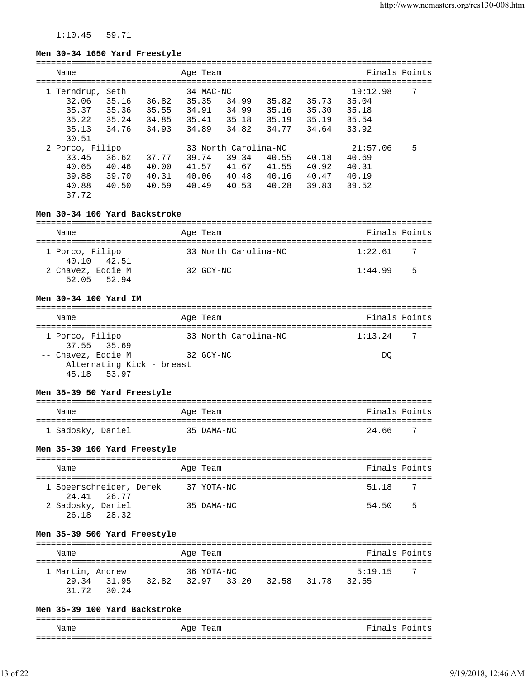# 1:10.45 59.71

### **Men 30-34 1650 Yard Freestyle**

| Name            |       |       | Age Team  |                      |       |       | Finals Points |   |
|-----------------|-------|-------|-----------|----------------------|-------|-------|---------------|---|
| 1 Terndrup,     | Seth  |       | 34 MAC-NC |                      |       |       | 19:12.98      | 7 |
| 32.06           | 35.16 | 36.82 | 35.35     | 34.99                | 35.82 | 35.73 | 35.04         |   |
| 35.37           | 35.36 | 35.55 | 34.91     | 34.99                | 35.16 | 35.30 | 35.18         |   |
| 35.22           | 35.24 | 34.85 | 35.41     | 35.18                | 35.19 | 35.19 | 35.54         |   |
| 35.13           | 34.76 | 34.93 | 34.89     | 34.82                | 34.77 | 34.64 | 33.92         |   |
| 30.51           |       |       |           |                      |       |       |               |   |
| 2 Porco, Filipo |       |       |           | 33 North Carolina-NC |       |       | 21:57.06      | 5 |
| 33.45           | 36.62 | 37.77 | 39.74     | 39.34                | 40.55 | 40.18 | 40.69         |   |
| 40.65           | 40.46 | 40.00 | 41.57     | 41.67                | 41.55 | 40.92 | 40.31         |   |
| 39.88           | 39.70 | 40.31 | 40.06     | 40.48                | 40.16 | 40.47 | 40.19         |   |
| 40.88           | 40.50 | 40.59 | 40.49     | 40.53                | 40.28 | 39.83 | 39.52         |   |
| 37.72           |       |       |           |                      |       |       |               |   |

# **Men 30-34 100 Yard Backstroke**

| Name                             | Age Team             | Finals Points |
|----------------------------------|----------------------|---------------|
| 1 Porco, Filipo<br>40.10 42.51   | 33 North Carolina-NC | 1:22.61       |
| 2 Chavez, Eddie M<br>52.05 52.94 | 32 GCY-NC            | 5<br>1:44.99  |

## **Men 30-34 100 Yard IM**

| Name                           | Age Team             | Finals Points |     |
|--------------------------------|----------------------|---------------|-----|
|                                |                      |               | - 7 |
| 1 Porco, Filipo<br>37.55 35.69 | 33 North Carolina-NC | 1:13.24       |     |
| -- Chavez, Eddie M             | 32 GCY-NC            | DO            |     |
| Alternating Kick - breast      |                      |               |     |
| 45.18 53.97                    |                      |               |     |

### **Men 35-39 50 Yard Freestyle**

| Name              | Age Team   | Finals Points |
|-------------------|------------|---------------|
| 1 Sadosky, Daniel | 35 DAMA-NC | -7<br>24 66   |

# **Men 35-39 100 Yard Freestyle**

| Name                                   | Age Team   | Finals Points |  |
|----------------------------------------|------------|---------------|--|
| 1 Speerschneider, Derek<br>24.41 26.77 | 37 YOTA-NC | - 7<br>51.18  |  |
| 2 Sadosky, Daniel<br>26.18 28.32       | 35 DAMA-NC | .5<br>54.50   |  |

# **Men 35-39 500 Yard Freestyle**

| Name             |             |       | Age Team   |                   |       | Finals Points |     |
|------------------|-------------|-------|------------|-------------------|-------|---------------|-----|
| 1 Martin, Andrew |             |       | 36 YOTA-NC |                   |       | 5:19.15       | - 7 |
|                  | 29.34 31.95 | 32.82 |            | 32.97 33.20 32.58 | 31.78 | 32.55         |     |
|                  | 31.72 30.24 |       |            |                   |       |               |     |

# **Men 35-39 100 Yard Backstroke**

| Name | Team<br>Age | Finals Points |
|------|-------------|---------------|
|      |             |               |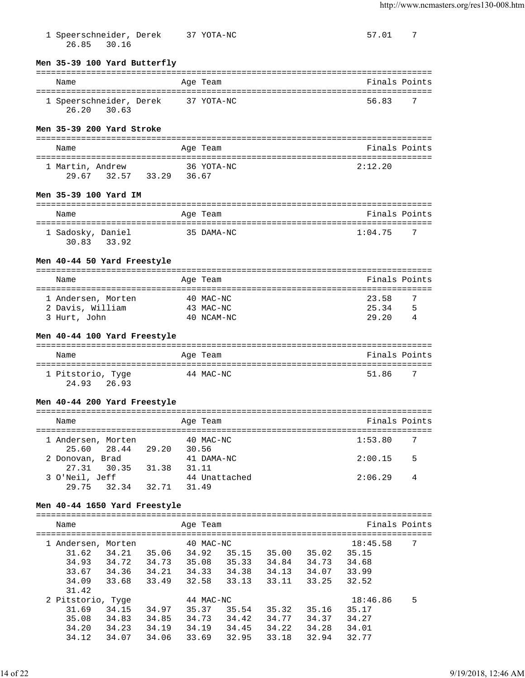57.01 7

| 1 Speerschneider, Derek |  | 37 YOTA-NC |
|-------------------------|--|------------|
| 26.85 30.16             |  |            |

### **Men 35-39 100 Yard Butterfly**

### =============================================================================== Name Age Team Age Team Finals Points =============================================================================== 1 Speerschneider, Derek 37 YOTA-NC 56.83 7 26.20 30.63

### **Men 35-39 200 Yard Stroke**

| Name             |             |       | Age Team            | Finals Points |
|------------------|-------------|-------|---------------------|---------------|
| 1 Martin, Andrew | 29.67 32.57 | 33.29 | 36 YOTA-NC<br>36.67 | 2:12:20       |

### **Men 35-39 100 Yard IM**

| Name                             | Age Team   | Finals Points  |
|----------------------------------|------------|----------------|
| 1 Sadosky, Daniel<br>30.83 33.92 | 35 DAMA-NC | 1:04.75<br>- 7 |

### **Men 40-44 50 Yard Freestyle**

| Name               | Age Team |             | Finals Points |    |
|--------------------|----------|-------------|---------------|----|
|                    |          |             |               |    |
| 1 Andersen, Morten |          | $40$ MAC-NC | 23.58         | -7 |
| 2 Davis, William   |          | 43 MAC-NC   | 25.34         | 5  |
| 3 Hurt, John       |          | 40 NCAM-NC  | 29.20         |    |

## **Men 40-44 100 Yard Freestyle**

| Name              | Age Team  | Finals Points |
|-------------------|-----------|---------------|
| 1 Pitstorio, Tyge | 44 MAC-NC | - 7<br>51.86  |
| 24.93<br>26.93    |           |               |

### **Men 40-44 200 Yard Freestyle**

| Name                              |       | Age Team               | Finals Points             |
|-----------------------------------|-------|------------------------|---------------------------|
|                                   |       |                        |                           |
| 1 Andersen, Morten<br>25.60 28.44 | 29.20 | 40 MAC-NC<br>30.56     | 1:53.80<br>- 7            |
| 2 Donovan, Brad                   |       | 41 DAMA-NC             | $5^{\circ}$<br>2:00.15    |
| 27.31 30.35                       | 31.38 | 31.11                  |                           |
| 3 O'Neil, Jeff<br>29.75 32.34     | 32.71 | 44 Unattached<br>31.49 | 2:06.29<br>$\overline{4}$ |

### **Men 40-44 1650 Yard Freestyle**

| Name              |        |       | Age Team    |       |       |       | Finals Points |   |
|-------------------|--------|-------|-------------|-------|-------|-------|---------------|---|
| Andersen,         | Morten |       | $40$ MAC-NC |       |       |       | 18:45.58      | 7 |
| 31.62             | 34.21  | 35.06 | 34.92       | 35.15 | 35.00 | 35.02 | 35.15         |   |
| 34.93             | 34.72  | 34.73 | 35.08       | 35.33 | 34.84 | 34.73 | 34.68         |   |
| 33.67             | 34.36  | 34.21 | 34.33       | 34.38 | 34.13 | 34.07 | 33.99         |   |
| 34.09             | 33.68  | 33.49 | 32.58       | 33.13 | 33.11 | 33.25 | 32.52         |   |
| 31.42             |        |       |             |       |       |       |               |   |
| 2 Pitstorio, Tyge |        |       | 44 MAC-NC   |       |       |       | 18:46.86      | 5 |
| 31.69             | 34.15  | 34.97 | 35.37       | 35.54 | 35.32 | 35.16 | 35.17         |   |
| 35.08             | 34.83  | 34.85 | 34.73       | 34.42 | 34.77 | 34.37 | 34.27         |   |
| 34.20             | 34.23  | 34.19 | 34.19       | 34.45 | 34.22 | 34.28 | 34.01         |   |
| 34.12             | 34.07  | 34.06 | 33.69       | 32.95 | 33.18 | 32.94 | 32.77         |   |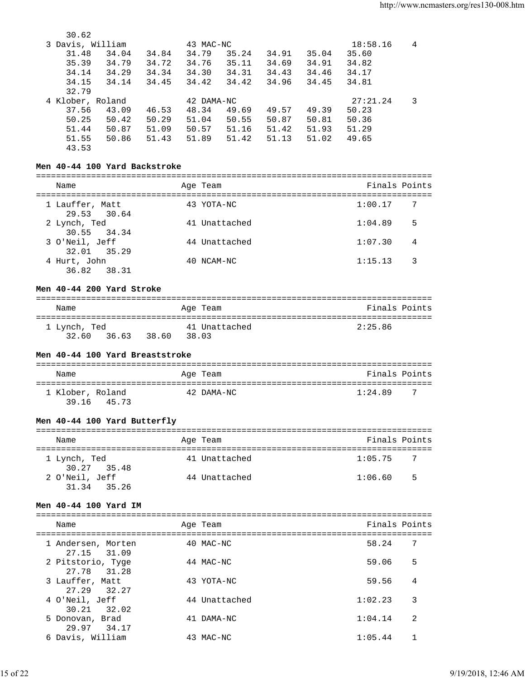| 30.62            |       |       |            |       |       |       |          |   |
|------------------|-------|-------|------------|-------|-------|-------|----------|---|
| 3 Davis, William |       |       | 43 MAC-NC  |       |       |       | 18:58.16 | 4 |
| 31.48            | 34.04 | 34.84 | 34.79      | 35.24 | 34.91 | 35.04 | 35.60    |   |
| 35.39            | 34.79 | 34.72 | 34.76      | 35.11 | 34.69 | 34.91 | 34.82    |   |
| 34.14            | 34.29 | 34.34 | 34.30      | 34.31 | 34.43 | 34.46 | 34.17    |   |
| 34.15            | 34.14 | 34.45 | 34.42      | 34.42 | 34.96 | 34.45 | 34.81    |   |
| 32.79            |       |       |            |       |       |       |          |   |
| 4 Klober, Roland |       |       | 42 DAMA-NC |       |       |       | 27:21.24 | 3 |
| 37.56            | 43.09 | 46.53 | 48.34      | 49.69 | 49.57 | 49.39 | 50.23    |   |
| 50.25            | 50.42 | 50.29 | 51.04      | 50.55 | 50.87 | 50.81 | 50.36    |   |
| 51.44            | 50.87 | 51.09 | 50.57      | 51.16 | 51.42 | 51.93 | 51.29    |   |
| 51.55            | 50.86 | 51.43 | 51.89      | 51.42 | 51.13 | 51.02 | 49.65    |   |
| 43.53            |       |       |            |       |       |       |          |   |

# **Men 40-44 100 Yard Backstroke**

| Name                           | Age Team      | Finals Points |                |
|--------------------------------|---------------|---------------|----------------|
| 1 Lauffer, Matt<br>29.53 30.64 | 43 YOTA-NC    | 1:00.17       | $\overline{7}$ |
| 2 Lynch, Ted<br>30.55 34.34    | 41 Unattached | 1:04.89       | 5              |
| 3 O'Neil, Jeff<br>32.01 35.29  | 44 Unattached | 1:07.30       | 4              |
| 4 Hurt, John<br>36.82 38.31    | 40 NCAM-NC    | 1:15.13       | -3             |

# **Men 40-44 200 Yard Stroke**

| Name         |       |       | Age Team      | Finals Points |
|--------------|-------|-------|---------------|---------------|
| 1 Lynch, Ted |       |       | 41 Unattached | 2:25.86       |
| 32.60        | 36.63 | 38.60 | 38.03         |               |

# **Men 40-44 100 Yard Breaststroke**

| Name                      |       | Age Team   | Finals Points |     |
|---------------------------|-------|------------|---------------|-----|
| 1 Klober, Roland<br>39.16 | 45.73 | 42 DAMA-NC | 1:24.89       | - 7 |

# **Men 40-44 100 Yard Butterfly**

| Name                          | Age Team      | Finals Points             |
|-------------------------------|---------------|---------------------------|
| 1 Lynch, Ted<br>30.27 35.48   | 41 Unattached | 1:05.75<br>$\overline{7}$ |
| 2 O'Neil, Jeff<br>31.34 35.26 | 44 Unattached | .5<br>1:06.60             |

# **Men 40-44 100 Yard IM**

| Name                                | Age Team      | Finals Points |   |
|-------------------------------------|---------------|---------------|---|
| 1 Andersen, Morten<br>27.15 31.09   | 40 MAC-NC     | 58.24         | 7 |
| 2 Pitstorio, Tyge<br>31.28<br>27.78 | 44 MAC-NC     | 59.06         | 5 |
| 3 Lauffer, Matt<br>27.29 32.27      | 43 YOTA-NC    | 59.56         | 4 |
| 4 O'Neil, Jeff<br>30.21 32.02       | 44 Unattached | 1:02.23       | 3 |
| 5 Donovan, Brad<br>29.97 34.17      | 41 DAMA-NC    | 1:04.14       | 2 |
| 6 Davis, William                    | 43 MAC-NC     | 1:05.44       |   |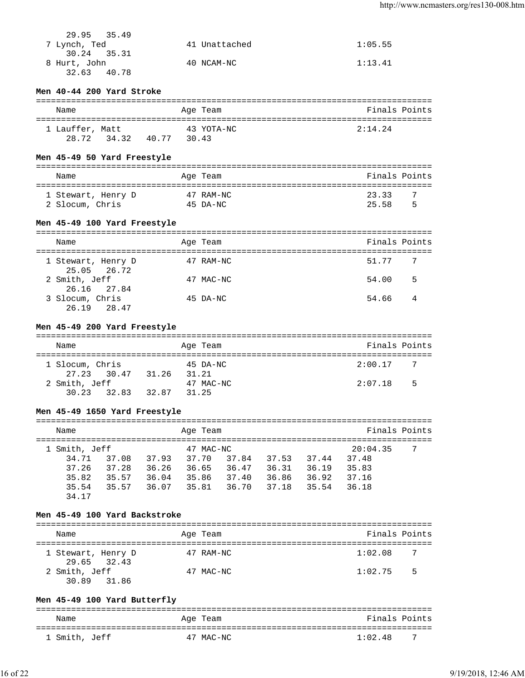| 29.95 35.49  |               |         |
|--------------|---------------|---------|
| 7 Lynch, Ted | 41 Unattached | 1:05.55 |
| 30.24 35.31  |               |         |
| 8 Hurt, John | 40 NCAM-NC    | 1:13.41 |
| 32.63 40.78  |               |         |

# **Men 40-44 200 Yard Stroke**

| Name            |             |       | Age Team            | Finals Points |
|-----------------|-------------|-------|---------------------|---------------|
| 1 Lauffer, Matt | 28.72 34.32 | 40.77 | 43 YOTA-NC<br>30.43 | 2:14.24       |

# **Men 45-49 50 Yard Freestyle**

| Name               | Age Team  | Finals Points |
|--------------------|-----------|---------------|
| 1 Stewart, Henry D | 47 RAM-NC | 23.33<br>- 7  |
| 2 Slocum, Chris    | 45 DA-NC  | 5<br>25.58    |

# **Men 45-49 100 Yard Freestyle**

| Name                              | Age Team  | Finals Points           |                |
|-----------------------------------|-----------|-------------------------|----------------|
| 1 Stewart, Henry D<br>25.05 26.72 | 47 RAM-NC | 51.77<br>$\overline{7}$ |                |
| 2 Smith, Jeff<br>26.16 27.84      | 47 MAC-NC | 54.00                   | 5              |
| 3 Slocum, Chris<br>26.19 28.47    | 45 DA-NC  | 54.66                   | $\overline{4}$ |

# **Men 45-49 200 Yard Freestyle**

| Name            |       | Age Team  | Finals Points |                |
|-----------------|-------|-----------|---------------|----------------|
|                 |       |           |               |                |
| 1 Slocum, Chris |       | 45 DA-NC  | 2:00.17       | $\overline{7}$ |
| 27.23 30.47     | 31.26 | 31.21     |               |                |
| 2 Smith, Jeff   |       | 47 MAC-NC | 2:07.18       | - 5            |
| 30.23 32.83     | 32.87 | 31.25     |               |                |

# **Men 45-49 1650 Yard Freestyle**

| Name                                                       |                                  |                                  | Age Team                                      |                                  |                                  |                                  | Finals Points                                |   |
|------------------------------------------------------------|----------------------------------|----------------------------------|-----------------------------------------------|----------------------------------|----------------------------------|----------------------------------|----------------------------------------------|---|
| 1 Smith, Jeff<br>34.71<br>37.26<br>35.82<br>35.54<br>34.17 | 37.08<br>37.28<br>35.57<br>35.57 | 37.93<br>36.26<br>36.04<br>36.07 | 47 MAC-NC<br>37.70<br>36.65<br>35.86<br>35.81 | 37.84<br>36.47<br>37.40<br>36.70 | 37.53<br>36.31<br>36.86<br>37.18 | 37.44<br>36.19<br>36.92<br>35.54 | 20:04.35<br>37.48<br>35.83<br>37.16<br>36.18 | 7 |

# **Men 45-49 100 Yard Backstroke**

| Name                              | Age Team  | Finals Points          |
|-----------------------------------|-----------|------------------------|
| 1 Stewart, Henry D<br>29.65 32.43 | 47 RAM-NC | 1:02.08<br>7           |
| 2 Smith, Jeff<br>30.89 31.86      | 47 MAC-NC | 1:02.75<br>$5^{\circ}$ |

# **Men 45-49 100 Yard Butterfly**

| Name          | Age Team  | Finals Points |
|---------------|-----------|---------------|
| 1 Smith, Jeff | 47 MAC-NC | -7<br>1:02.48 |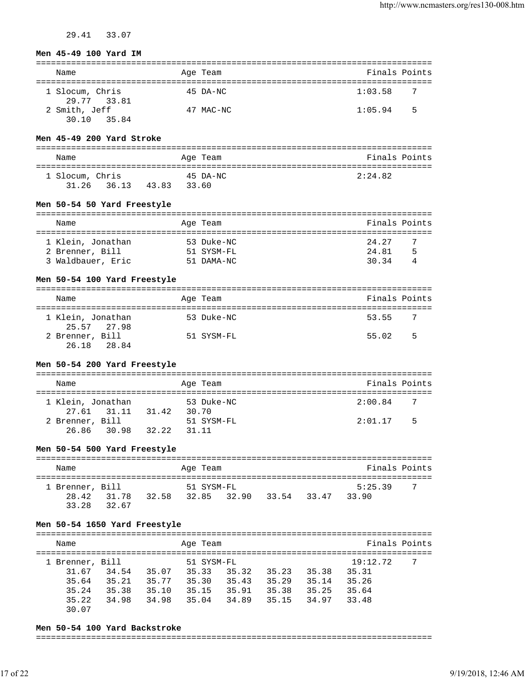29.41 33.07

### **Men 45-49 100 Yard IM**

| Name                           | Age Team  | Finals Points  |
|--------------------------------|-----------|----------------|
| 1 Slocum, Chris<br>29.77 33.81 | 45 DA-NC  | 1:03.58<br>- 7 |
| 2 Smith, Jeff<br>30.10 35.84   | 47 MAC-NC | 5<br>1:05.94   |

### **Men 45-49 200 Yard Stroke**

| Name                     |                | Age Team          | Finals Points |
|--------------------------|----------------|-------------------|---------------|
| 1 Slocum, Chris<br>31.26 | 36.13<br>43.83 | 45 DA-NC<br>33.60 | 2:24.82       |

### **Men 50-54 50 Yard Freestyle**

| Name              | Age Team   | Finals Points |
|-------------------|------------|---------------|
|                   |            |               |
| 1 Klein, Jonathan | 53 Duke-NC | 24.27<br>-7   |
| 2 Brenner, Bill   | 51 SYSM-FL | 24.81<br>5    |
| 3 Waldbauer, Eric | 51 DAMA-NC | 3034          |

### **Men 50-54 100 Yard Freestyle**

| Name                             | Age Team   | Finals Points |     |
|----------------------------------|------------|---------------|-----|
| 1 Klein, Jonathan<br>25.57 27.98 | 53 Duke-NC | 53.55         | - 7 |
| 2 Brenner, Bill<br>26.18 28.84   | 51 SYSM-FL | 55.02         | 5   |

# **Men 50-54 200 Yard Freestyle**

| Name                             |       | Age Team            | Finals Points             |  |
|----------------------------------|-------|---------------------|---------------------------|--|
| 1 Klein, Jonathan<br>27.61 31.11 | 31.42 | 53 Duke-NC<br>30.70 | 2:00.84<br>$\overline{7}$ |  |
| 2 Brenner, Bill<br>26.86 30.98   | 32.22 | 51 SYSM-FL<br>31.11 | 2:01.17<br>- 5            |  |

### **Men 50-54 500 Yard Freestyle**

| Name            |       |       | Age Team    |       |       | Finals Points |     |
|-----------------|-------|-------|-------------|-------|-------|---------------|-----|
| 1 Brenner, Bill |       |       | 51 SYSM-FL  |       |       | 5:25.39       | - 7 |
| 28.42           | 31.78 | 32.58 | 32.85 32.90 | 33.54 | 33.47 | 33.90         |     |
| 33.28           | 32.67 |       |             |       |       |               |     |

### **Men 50-54 1650 Yard Freestyle**

| Name                                                         |                                                                      | Age Team                                       |                                  |                                  |                                  | Finals Points                                |  |
|--------------------------------------------------------------|----------------------------------------------------------------------|------------------------------------------------|----------------------------------|----------------------------------|----------------------------------|----------------------------------------------|--|
| 1 Brenner, Bill<br>31.67<br>35.64<br>35.24<br>35.22<br>30.07 | 34.54<br>35.07<br>35.21<br>35.77<br>35.38<br>35.10<br>34.98<br>34.98 | 51 SYSM-FL<br>35.33<br>35.30<br>35.15<br>35.04 | 35.32<br>35.43<br>35.91<br>34.89 | 35.23<br>35.29<br>35.38<br>35.15 | 35.38<br>35.14<br>35.25<br>34.97 | 19:12.72<br>35.31<br>35.26<br>35.64<br>33.48 |  |

### **Men 50-54 100 Yard Backstroke**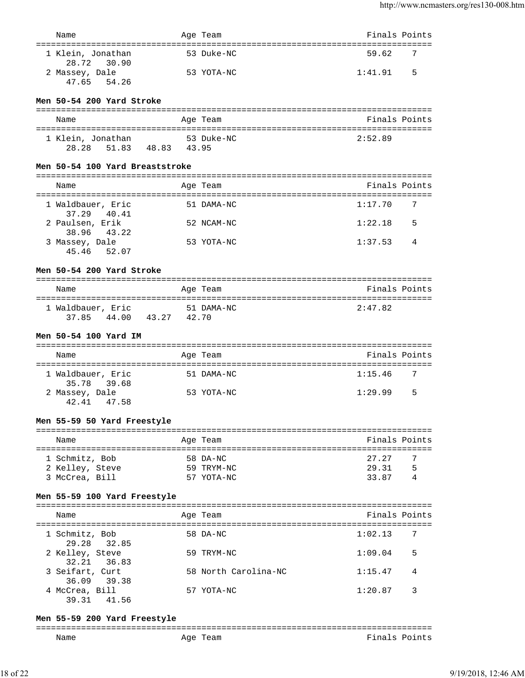| Name                                            |             | Age Team             | Finals Points |   |
|-------------------------------------------------|-------------|----------------------|---------------|---|
|                                                 |             |                      |               |   |
| 1 Klein, Jonathan<br>28.72 30.90                |             | 53 Duke-NC           | 59.62         | 7 |
| 2 Massey, Dale<br>47.65 54.26                   |             | 53 YOTA-NC           | 1:41.91       | 5 |
| Men 50-54 200 Yard Stroke                       |             |                      |               |   |
|                                                 |             |                      |               |   |
| Name                                            |             | Age Team             | Finals Points |   |
| 1 Klein, Jonathan                               |             | 53 Duke-NC           | 2:52.89       |   |
| 51.83<br>28.28                                  | 48.83 43.95 |                      |               |   |
|                                                 |             |                      |               |   |
| Men 50-54 100 Yard Breaststroke                 |             |                      |               |   |
| Name                                            |             | Age Team             | Finals Points |   |
|                                                 |             |                      |               |   |
| 1 Waldbauer, Eric<br>37.29<br>40.41             |             | 51 DAMA-NC           | 1:17.70       | 7 |
| 2 Paulsen, Erik<br>38.96<br>43.22               |             | 52 NCAM-NC           | 1:22.18       | 5 |
| 3 Massey, Dale                                  |             | 53 YOTA-NC           | 1:37.53       | 4 |
| 45.46<br>52.07                                  |             |                      |               |   |
| Men 50-54 200 Yard Stroke                       |             |                      |               |   |
| Name                                            |             | Age Team             | Finals Points |   |
|                                                 |             |                      |               |   |
| 1 Waldbauer, Eric<br>44.00 43.27 42.70<br>37.85 |             | 51 DAMA-NC           | 2:47.82       |   |
| Men 50-54 100 Yard IM                           |             |                      |               |   |
|                                                 |             |                      |               |   |
| Name                                            |             | Age Team             | Finals Points |   |
| 1 Waldbauer, Eric                               |             | 51 DAMA-NC           | 1:15.46       | 7 |
| 35.78<br>39.68                                  |             |                      |               |   |
| 2 Massey, Dale                                  |             | 53 YOTA-NC           | 1:29.99       | 5 |
| 42.41<br>47.58                                  |             |                      |               |   |
| Men 55-59 50 Yard Freestyle                     |             |                      |               |   |
| Name                                            |             | Age Team             | Finals Points |   |
|                                                 |             |                      |               |   |
| 1 Schmitz, Bob                                  |             | 58 DA-NC             | 27.27         | 7 |
| 2 Kelley, Steve                                 |             | 59 TRYM-NC           | 29.31         | 5 |
| 3 McCrea, Bill                                  |             | 57 YOTA-NC           | 33.87         | 4 |
| Men 55-59 100 Yard Freestyle                    |             |                      |               |   |
|                                                 |             |                      |               |   |
| Name                                            |             | Age Team             | Finals Points |   |
| 1 Schmitz, Bob<br>32.85<br>29.28                |             | 58 DA-NC             | 1:02.13       | 7 |
| 2 Kelley, Steve                                 |             | 59 TRYM-NC           | 1:09.04       | 5 |
| 32.21<br>36.83                                  |             |                      |               |   |
| 3 Seifart, Curt<br>36.09 39.38                  |             | 58 North Carolina-NC | 1:15.47       | 4 |
| 4 McCrea, Bill                                  |             | 57 YOTA-NC           | 1:20.87       | 3 |

**Men 55-59 200 Yard Freestyle**

39.31 41.56

| ------<br>______ |             |                                        |
|------------------|-------------|----------------------------------------|
| Name             | Aqe<br>"eam | Fina<br>$\tilde{\phantom{a}}$<br>∙ ∼ ب |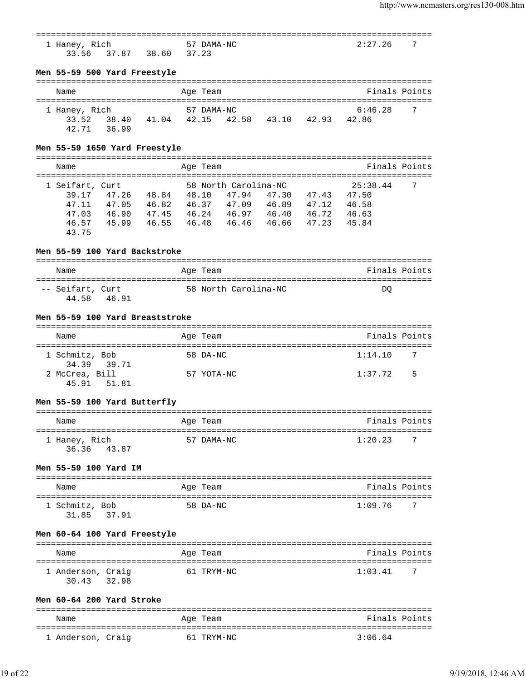| 1 Haney, Rich                                   | 57 DAMA-NC                |                                                 |       | 2:27.26                                          | 7 |
|-------------------------------------------------|---------------------------|-------------------------------------------------|-------|--------------------------------------------------|---|
| 33.56<br>37.87 38.60 37.23                      |                           |                                                 |       |                                                  |   |
| Men 55-59 500 Yard Freestyle                    |                           |                                                 |       |                                                  |   |
| Name                                            | Age Team                  |                                                 |       | Finals Points                                    |   |
| 1 Haney, Rich                                   | 57 DAMA-NC                |                                                 |       | 6:46.28                                          | 7 |
| $33.52 \qquad 38.40 \qquad 41.04 \qquad 42.15$  |                           | 42.58 43.10 42.93 42.86                         |       |                                                  |   |
| 42.71<br>36.99                                  |                           |                                                 |       |                                                  |   |
| Men 55-59 1650 Yard Freestyle                   |                           |                                                 |       |                                                  |   |
| Name                                            | =============<br>Age Team |                                                 |       | Finals Points                                    |   |
| 1 Seifart, Curt                                 | 58 North Carolina-NC      |                                                 |       | 25:38.44                                         | 7 |
| 39.17 47.26 48.84 48.10 47.94 47.30 47.43 47.50 |                           |                                                 |       |                                                  |   |
| 47.11                                           |                           | 47.05  46.82  46.37  47.09  46.89  47.12  46.58 |       |                                                  |   |
| 47.03 46.90 47.45 46.24 46.97 46.40 46.72 46.63 |                           |                                                 |       |                                                  |   |
| 46.57                                           |                           | 45.99  46.55  46.48  46.46  46.66               | 47.23 | 45.84                                            |   |
| 43.75                                           |                           |                                                 |       |                                                  |   |
| Men 55-59 100 Yard Backstroke                   |                           |                                                 |       | ---------------------------------                |   |
| Name                                            | Age Team                  |                                                 |       | Finals Points                                    |   |
|                                                 |                           |                                                 |       |                                                  |   |
| -- Seifart, Curt<br>44.58<br>46.91              | 58 North Carolina-NC      |                                                 |       | DQ                                               |   |
| Men 55-59 100 Yard Breaststroke                 |                           |                                                 |       |                                                  |   |
| Name                                            | Age Team                  |                                                 |       | Finals Points                                    |   |
| 1 Schmitz, Bob                                  | 58 DA-NC                  |                                                 |       | 1:14.10                                          | 7 |
| 34.39 39.71<br>2 McCrea, Bill                   |                           |                                                 |       |                                                  |   |
| 51.81<br>45.91                                  | 57 YOTA-NC                |                                                 |       | 1:37.72                                          | 5 |
| Men 55-59 100 Yard Butterfly                    |                           |                                                 |       |                                                  |   |
| Name                                            | Age Team                  |                                                 |       | ===============================<br>Finals Points |   |
| ======================                          |                           |                                                 |       |                                                  |   |
| 1 Haney, Rich<br>36.36<br>43.87                 | 57 DAMA-NC                |                                                 |       | 1:20.23                                          | 7 |
| Men 55-59 100 Yard IM                           |                           |                                                 |       |                                                  |   |
| Name                                            | Age Team                  |                                                 |       | Finals Points                                    |   |
|                                                 |                           |                                                 |       |                                                  |   |
| 1 Schmitz, Bob<br>37.91<br>31.85                | 58 DA-NC                  |                                                 |       | 1:09.76                                          | 7 |
| Men 60-64 100 Yard Freestyle                    |                           |                                                 |       | ================================                 |   |
| Name                                            | Age Team                  |                                                 |       | Finals Points                                    |   |
|                                                 |                           |                                                 |       |                                                  |   |
| 1 Anderson, Craig<br>32.98<br>30.43             | 61 TRYM-NC                |                                                 |       | 1:03.41                                          | 7 |
| Men 60-64 200 Yard Stroke                       |                           |                                                 |       |                                                  |   |
| Name                                            | Age Team                  |                                                 |       | Finals Points                                    |   |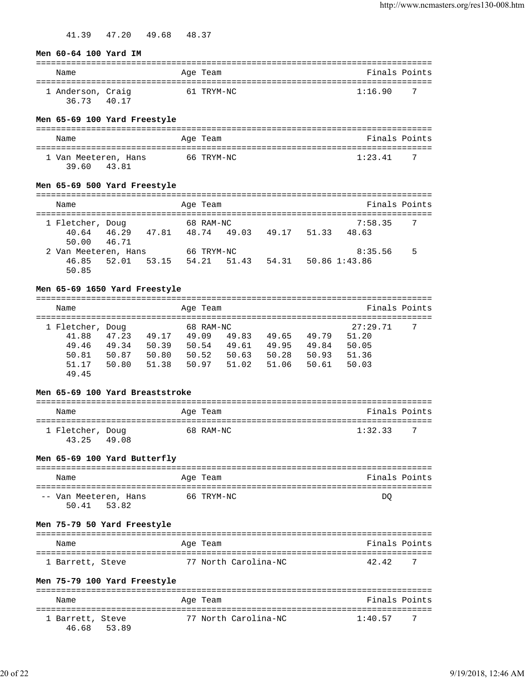41.39 47.20 49.68 48.37

### **Men 60-64 100 Yard IM**

| Name                       |       | Age Team   | Finals Points |    |
|----------------------------|-------|------------|---------------|----|
| 1 Anderson, Craig<br>36.73 | 40.17 | 61 TRYM-NC | 1:16.90       | -7 |

## **Men 65-69 100 Yard Freestyle**

| Name                 | Age Team   | Finals Points  |
|----------------------|------------|----------------|
| 1 Van Meeteren, Hans | 66 TRYM-NC | 1:23.41<br>- 7 |
| 39.60<br>43.81       |            |                |

# **Men 65-69 500 Yard Freestyle**

| Name                 |       |       |       | Age Team   |             |       |       | Finals Points |     |
|----------------------|-------|-------|-------|------------|-------------|-------|-------|---------------|-----|
| 1 Fletcher, Doug     |       |       |       | 68 RAM-NC  |             |       |       | 7:58.35       | - 7 |
| 40.64 46.29          |       | 47.81 |       |            | 48.74 49.03 | 49.17 | 51.33 | 48.63         |     |
| 50.00 46.71          |       |       |       |            |             |       |       |               |     |
| 2 Van Meeteren, Hans |       |       |       | 66 TRYM-NC |             |       |       | 8:35.56       | 5   |
| 46.85                | 52.01 | 53.15 | 54.21 |            | 51.43       | 54.31 |       | 50.86 1:43.86 |     |
| 50.85                |       |       |       |            |             |       |       |               |     |

# **Men 65-69 1650 Yard Freestyle**

| Name             |       |       | Age Team  |       |       |       | Finals Points |    |
|------------------|-------|-------|-----------|-------|-------|-------|---------------|----|
|                  |       |       |           |       |       |       |               |    |
| 1 Fletcher, Doug |       |       | 68 RAM-NC |       |       |       | 27:29.71      | -7 |
| 41.88            | 47.23 | 49.17 | 49.09     | 49.83 | 49.65 | 49.79 | 51.20         |    |
| 49.46            | 49.34 | 50.39 | 50.54     | 49.61 | 49.95 | 49.84 | 50.05         |    |
| 50.81            | 50.87 | 50.80 | 50.52     | 50.63 | 50.28 | 50.93 | 51.36         |    |
| 51.17            | 50.80 | 51.38 | 50.97     | 51.02 | 51.06 | 50.61 | 50.03         |    |
| 49.45            |       |       |           |       |       |       |               |    |

## **Men 65-69 100 Yard Breaststroke**

| Name                      |       | Age Team  | Finals Points |     |
|---------------------------|-------|-----------|---------------|-----|
| 1 Fletcher, Doug<br>43.25 | 49.08 | 68 RAM-NC | 1:32.33       | - 7 |

# **Men 65-69 100 Yard Butterfly**

| Name                  | Age Team   | Finals Points |
|-----------------------|------------|---------------|
|                       |            |               |
| -- Van Meeteren, Hans | 66 TRYM-NC | DO            |
| 50.41 53.82           |            |               |

## **Men 75-79 50 Yard Freestyle**

| Name             | Age Team             | Finals Points |    |
|------------------|----------------------|---------------|----|
| 1 Barrett, Steve | 77 North Carolina-NC | 42.42         | -7 |

# **Men 75-79 100 Yard Freestyle**

| Name                            | Age Team |                      | Finals Points |     |
|---------------------------------|----------|----------------------|---------------|-----|
| 1 Barrett, Steve<br>46.68 53.89 |          | 77 North Carolina-NC | 1:40.57       | - 7 |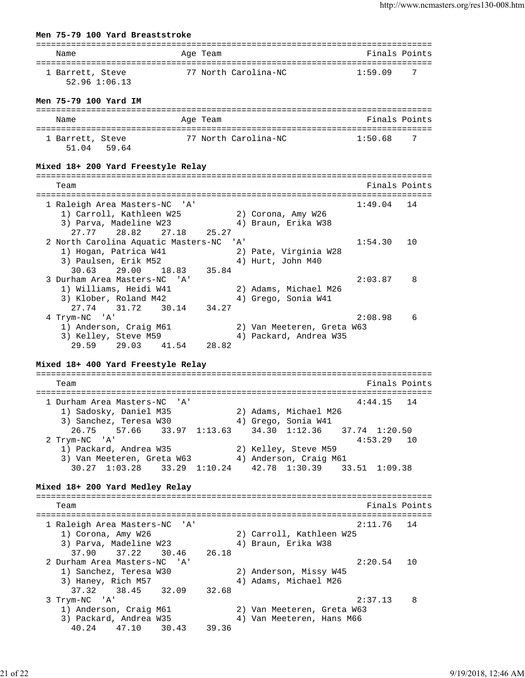#### **Men 75-79 100 Yard Breaststroke**

| Name                              | Age Team             | Finals Points |
|-----------------------------------|----------------------|---------------|
| 1 Barrett, Steve<br>52.96 1:06.13 | 77 North Carolina-NC | 1:59 09       |

### **Men 75-79 100 Yard IM**

| Name                      |       | Age Team             | Finals Points |     |
|---------------------------|-------|----------------------|---------------|-----|
| 1 Barrett, Steve<br>51 04 | 59.64 | 77 North Carolina-NC | 1:50.68       | - 7 |

### **Mixed 18+ 200 Yard Freestyle Relay**

| Team                                |              |                            | Finals Points |   |
|-------------------------------------|--------------|----------------------------|---------------|---|
|                                     |              |                            |               |   |
| 1 Raleigh Area Masters-NC 'A'       |              |                            | $1:49.04$ 14  |   |
| 1) Carroll, Kathleen W25            |              | 2) Corona, Amy W26         |               |   |
| 3) Parva, Madeline W23              |              | 4) Braun, Erika W38        |               |   |
| 27.77 28.82 27.18 25.27             |              |                            |               |   |
| 2 North Carolina Aquatic Masters-NC | <u>י A</u> י |                            | 1:54.30 10    |   |
| 1) Hogan, Patrica W41               |              | 2) Pate, Virginia W28      |               |   |
| 3) Paulsen, Erik M52                |              | 4) Hurt, John M40          |               |   |
| 30.63 29.00 18.83 35.84             |              |                            |               |   |
| 3 Durham Area Masters-NC 'A'        |              |                            | 2:03.87       | 8 |
| 1) Williams, Heidi W41              |              | 2) Adams, Michael M26      |               |   |
| 3) Klober, Roland M42               |              | 4) Grego, Sonia W41        |               |   |
| 27.74 31.72 30.14<br>34.27          |              |                            |               |   |
| 4 Trym-NC 'A'                       |              |                            | 2:08.98       | 6 |
| 1) Anderson, Craig M61              |              | 2) Van Meeteren, Greta W63 |               |   |
| 3) Kelley, Steve M59                |              | 4) Packard, Andrea W35     |               |   |
| 29.59 29.03<br>41.54 28.82          |              |                            |               |   |

### **Mixed 18+ 400 Yard Freestyle Relay**

=============================================================================== Team **Finals Points** =============================================================================== 1 Durham Area Masters-NC 'A' 4:44.15 14 1) Sadosky, Daniel M35 2) Adams, Michael M26 3) Sanchez, Teresa W30  $\hskip1cm 4)$  Grego, Sonia W41 26.75 57.66 33.97 1:13.63 34.30 1:12.36 37.74 1:20.50<br>2 Trym-NC 'A' 4:53.29 1 2 Trym-NC 'A' 4:53.29 10 1) Packard, Andrea W35 2) Kelley, Steve M59 3) Van Meeteren, Greta W63 4) Anderson, Craig M61 30.27 1:03.28 33.29 1:10.24 42.78 1:30.39 33.51 1:09.38

#### **Mixed 18+ 200 Yard Medley Relay**

=============================================================================== Team Finals Points =============================================================================== 1 Raleigh Area Masters-NC 'A' 2:11.76 14 1) Corona, Amy W26 2) Carroll, Kathleen W25 3) Parva, Madeline W23 4) Braun, Erika W38 37.90 37.22 30.46 26.18 2 Durham Area Masters-NC 'A' 2:20.54 10 1) Sanchez, Teresa W30 2) Anderson, Missy W45 3) Haney, Rich M57 4) Adams, Michael M26 37.32 38.45 32.09 32.68 3 Trym-NC 'A' 2:37.13 8 1) Anderson, Craig M61 2) Van Meeteren, Greta W63 3) Packard, Andrea W35 4) Van Meeteren, Hans M66 40.24 47.10 30.43 39.36